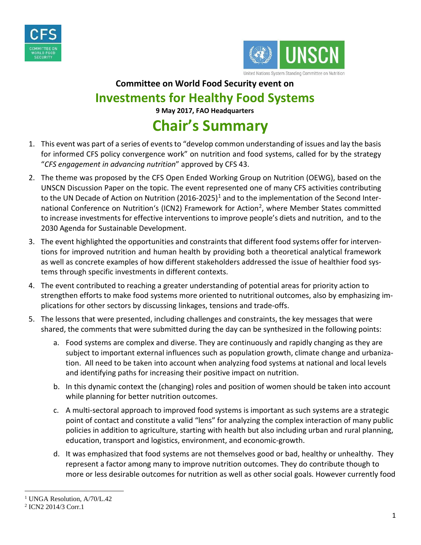



## **Committee on World Food Security event on Investments for Healthy Food Systems**

**9 May 2017, FAO Headquarters**

## **Chair's Summary**

- 1. This event was part of a series of events to "develop common understanding of issues and lay the basis for informed CFS policy convergence work" on nutrition and food systems, called for by the strategy "*CFS engagement in advancing nutrition*" approved by CFS 43.
- 2. The theme was proposed by the CFS Open Ended Working Group on Nutrition (OEWG), based on the UNSCN Discussion Paper on the topic. The event represented one of many CFS activities contributing to the UN Decade of Action on Nutrition (20[1](#page-0-0)6-2025)<sup>1</sup> and to the implementation of the Second International Conference on Nutrition's (ICN2) Framework for Action<sup>2</sup>, where Member States committed to increase investments for effective interventions to improve people's diets and nutrition, and to the 2030 Agenda for Sustainable Development.
- 3. The event highlighted the opportunities and constraints that different food systems offer for interventions for improved nutrition and human health by providing both a theoretical analytical framework as well as concrete examples of how different stakeholders addressed the issue of healthier food systems through specific investments in different contexts.
- 4. The event contributed to reaching a greater understanding of potential areas for priority action to strengthen efforts to make food systems more oriented to nutritional outcomes, also by emphasizing implications for other sectors by discussing linkages, tensions and trade-offs.
- 5. The lessons that were presented, including challenges and constraints, the key messages that were shared, the comments that were submitted during the day can be synthesized in the following points:
	- a. Food systems are complex and diverse. They are continuously and rapidly changing as they are subject to important external influences such as population growth, climate change and urbanization. All need to be taken into account when analyzing food systems at national and local levels and identifying paths for increasing their positive impact on nutrition.
	- b. In this dynamic context the (changing) roles and position of women should be taken into account while planning for better nutrition outcomes.
	- c. A multi-sectoral approach to improved food systems is important as such systems are a strategic point of contact and constitute a valid "lens" for analyzing the complex interaction of many public policies in addition to agriculture, starting with health but also including urban and rural planning, education, transport and logistics, environment, and economic-growth.
	- d. It was emphasized that food systems are not themselves good or bad, healthy or unhealthy. They represent a factor among many to improve nutrition outcomes. They do contribute though to more or less desirable outcomes for nutrition as well as other social goals. However currently food

<span id="page-0-0"></span><sup>&</sup>lt;sup>1</sup> UNGA Resolution, A/70/L.42

<span id="page-0-1"></span><sup>2</sup> ICN2 2014/3 Corr.1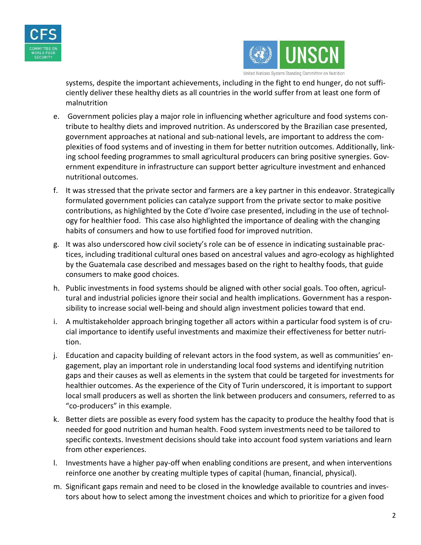



systems, despite the important achievements, including in the fight to end hunger, do not sufficiently deliver these healthy diets as all countries in the world suffer from at least one form of malnutrition

- e. Government policies play a major role in influencing whether agriculture and food systems contribute to healthy diets and improved nutrition. As underscored by the Brazilian case presented, government approaches at national and sub-national levels, are important to address the complexities of food systems and of investing in them for better nutrition outcomes. Additionally, linking school feeding programmes to small agricultural producers can bring positive synergies. Government expenditure in infrastructure can support better agriculture investment and enhanced nutritional outcomes.
- f. It was stressed that the private sector and farmers are a key partner in this endeavor. Strategically formulated government policies can catalyze support from the private sector to make positive contributions, as highlighted by the Cote d'Ivoire case presented, including in the use of technology for healthier food. This case also highlighted the importance of dealing with the changing habits of consumers and how to use fortified food for improved nutrition.
- g. It was also underscored how civil society's role can be of essence in indicating sustainable practices, including traditional cultural ones based on ancestral values and agro-ecology as highlighted by the Guatemala case described and messages based on the right to healthy foods, that guide consumers to make good choices.
- h. Public investments in food systems should be aligned with other social goals. Too often, agricultural and industrial policies ignore their social and health implications. Government has a responsibility to increase social well-being and should align investment policies toward that end.
- i. A multistakeholder approach bringing together all actors within a particular food system is of crucial importance to identify useful investments and maximize their effectiveness for better nutrition.
- j. Education and capacity building of relevant actors in the food system, as well as communities' engagement, play an important role in understanding local food systems and identifying nutrition gaps and their causes as well as elements in the system that could be targeted for investments for healthier outcomes. As the experience of the City of Turin underscored, it is important to support local small producers as well as shorten the link between producers and consumers, referred to as "co-producers" in this example.
- k. Better diets are possible as every food system has the capacity to produce the healthy food that is needed for good nutrition and human health. Food system investments need to be tailored to specific contexts. Investment decisions should take into account food system variations and learn from other experiences.
- l. Investments have a higher pay-off when enabling conditions are present, and when interventions reinforce one another by creating multiple types of capital (human, financial, physical).
- m. Significant gaps remain and need to be closed in the knowledge available to countries and investors about how to select among the investment choices and which to prioritize for a given food